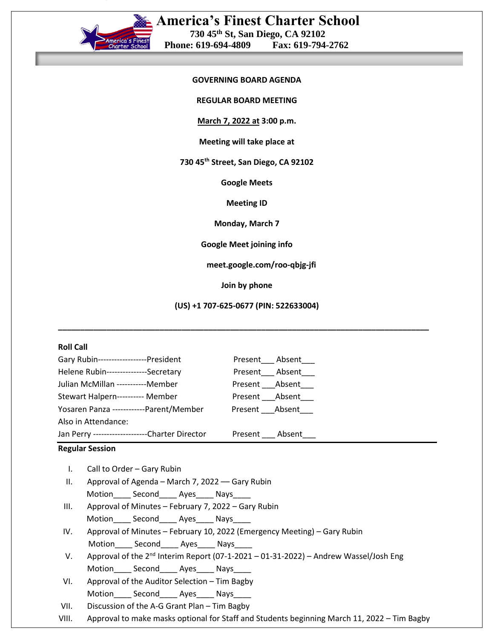

**REGULAR BOARD MEETING**

**March 7, 2022 at 3:00 p.m.**

## **Meeting will take place at**

**730 45th Street, San Diego, CA 92102**

**Google Meets**

**Meeting ID**

**Monday, March 7**

**Google Meet joining info**

**meet.google.com/roo-qbjg-jfi**

**Join by phone**

**(US) +1 707-625-0677 (PIN: 522633004)**

**\_\_\_\_\_\_\_\_\_\_\_\_\_\_\_\_\_\_\_\_\_\_\_\_\_\_\_\_\_\_\_\_\_\_\_\_\_\_\_\_\_\_\_\_\_\_\_\_\_\_\_\_\_\_\_\_\_\_\_\_\_\_\_\_\_\_\_\_\_\_\_\_\_\_\_\_\_\_\_\_\_\_\_\_**

## **Roll Call**

| Gary Rubin------------------President           | Present Absent |
|-------------------------------------------------|----------------|
| Helene Rubin---------------Secretary            | Present Absent |
| Julian McMillan -----------Member               | Present Absent |
| Stewart Halpern---------- Member                | Present Absent |
| Yosaren Panza ------------Parent/Member         | Present Absent |
| Also in Attendance:                             |                |
| Jan Perry ---------------------Charter Director | Present Absent |
|                                                 |                |

#### **Regular Session**

- I. Call to Order Gary Rubin
- II. Approval of Agenda March 7, 2022 –– Gary Rubin Motion\_\_\_\_ Second\_\_\_\_\_ Ayes\_\_\_\_ Nays\_\_\_\_
- III. Approval of Minutes February 7, 2022 Gary Rubin Motion\_\_\_\_\_ Second\_\_\_\_\_ Ayes\_\_\_\_\_ Nays\_\_\_
- IV. Approval of Minutes February 10, 2022 (Emergency Meeting) Gary Rubin Motion Second Ayes Nays
- V. Approval of the 2<sup>nd</sup> Interim Report (07-1-2021 01-31-2022) Andrew Wassel/Josh Eng Motion\_\_\_\_\_ Second\_\_\_\_\_ Ayes\_\_\_\_\_ Nays\_
- VI. Approval of the Auditor Selection Tim Bagby Motion\_\_\_\_\_ Second\_\_\_\_\_ Ayes\_\_\_\_\_ Nays
- VII. Discussion of the A-G Grant Plan Tim Bagby
- VIII. Approval to make masks optional for Staff and Students beginning March 11, 2022 Tim Bagby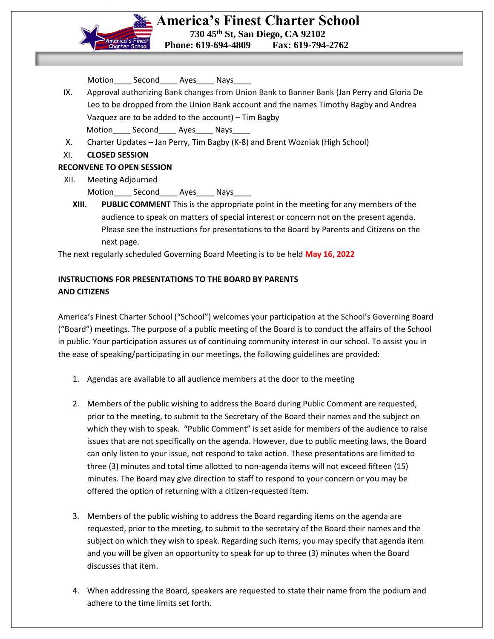

| Motion | Second | Ayes | Nays |  |
|--------|--------|------|------|--|
|--------|--------|------|------|--|

- IX. Approval authorizing Bank changes from Union Bank to Banner Bank (Jan Perry and Gloria De Leo to be dropped from the Union Bank account and the names Timothy Bagby and Andrea Vazquez are to be added to the account) – Tim Bagby Motion Second Ayes Nays
- X. Charter Updates Jan Perry, Tim Bagby (K-8) and Brent Wozniak (High School)
- XI. **CLOSED SESSION**

# **RECONVENE TO OPEN SESSION**

- XII. Meeting Adjourned
	- Motion Second Ayes Nays
	- **XIII. PUBLIC COMMENT** This is the appropriate point in the meeting for any members of the audience to speak on matters of special interest or concern not on the present agenda. Please see the instructions for presentations to the Board by Parents and Citizens on the next page.

The next regularly scheduled Governing Board Meeting is to be held **May 16, 2022**

# **INSTRUCTIONS FOR PRESENTATIONS TO THE BOARD BY PARENTS AND CITIZENS**

America's Finest Charter School ("School") welcomes your participation at the School's Governing Board ("Board") meetings. The purpose of a public meeting of the Board is to conduct the affairs of the School in public. Your participation assures us of continuing community interest in our school. To assist you in the ease of speaking/participating in our meetings, the following guidelines are provided:

- 1. Agendas are available to all audience members at the door to the meeting
- 2. Members of the public wishing to address the Board during Public Comment are requested, prior to the meeting, to submit to the Secretary of the Board their names and the subject on which they wish to speak. "Public Comment" is set aside for members of the audience to raise issues that are not specifically on the agenda. However, due to public meeting laws, the Board can only listen to your issue, not respond to take action. These presentations are limited to three (3) minutes and total time allotted to non-agenda items will not exceed fifteen (15) minutes. The Board may give direction to staff to respond to your concern or you may be offered the option of returning with a citizen-requested item.
- 3. Members of the public wishing to address the Board regarding items on the agenda are requested, prior to the meeting, to submit to the secretary of the Board their names and the subject on which they wish to speak. Regarding such items, you may specify that agenda item and you will be given an opportunity to speak for up to three (3) minutes when the Board discusses that item.
- 4. When addressing the Board, speakers are requested to state their name from the podium and adhere to the time limits set forth.